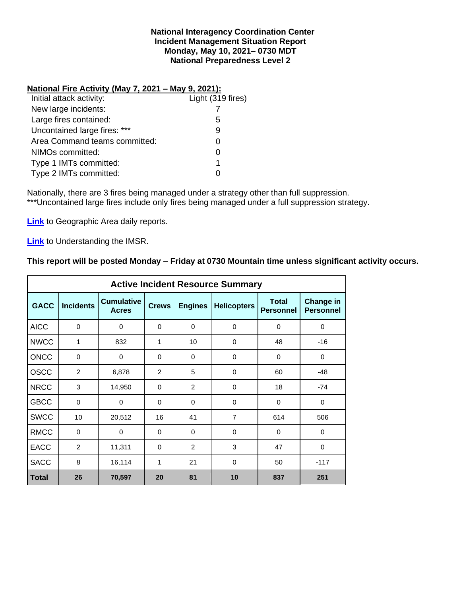#### **National Interagency Coordination Center Incident Management Situation Report Monday, May 10, 2021– 0730 MDT National Preparedness Level 2**

### **National Fire Activity (May 7, 2021 – May 9, 2021):**

| Light (319 fires) |
|-------------------|
|                   |
| 5                 |
| 9                 |
|                   |
|                   |
| 1                 |
|                   |
|                   |

Nationally, there are 3 fires being managed under a strategy other than full suppression. \*\*\*Uncontained large fires include only fires being managed under a full suppression strategy.

**[Link](http://www.nifc.gov/nicc/predictive/statelinks.htm)** to Geographic Area daily reports.

**[Link](https://www.predictiveservices.nifc.gov/intelligence/Understanding%20the%20IMSR%202019.pdf)** to Understanding the IMSR.

## **This report will be posted Monday – Friday at 0730 Mountain time unless significant activity occurs.**

|              |                  |                                   |              |                | <b>Active Incident Resource Summary</b> |                                  |                                      |
|--------------|------------------|-----------------------------------|--------------|----------------|-----------------------------------------|----------------------------------|--------------------------------------|
| <b>GACC</b>  | <b>Incidents</b> | <b>Cumulative</b><br><b>Acres</b> | <b>Crews</b> | <b>Engines</b> | <b>Helicopters</b>                      | <b>Total</b><br><b>Personnel</b> | <b>Change in</b><br><b>Personnel</b> |
| <b>AICC</b>  | $\mathbf 0$      | 0                                 | $\Omega$     | $\Omega$       | $\Omega$                                | $\mathbf 0$                      | $\mathbf 0$                          |
| <b>NWCC</b>  | 1                | 832                               | 1            | 10             | 0                                       | 48                               | $-16$                                |
| <b>ONCC</b>  | 0                | 0                                 | $\Omega$     | $\Omega$       | $\Omega$                                | $\Omega$                         | $\mathbf 0$                          |
| <b>OSCC</b>  | 2                | 6,878                             | 2            | 5              | $\Omega$                                | 60                               | $-48$                                |
| <b>NRCC</b>  | 3                | 14,950                            | 0            | 2              | 18<br>0                                 |                                  | $-74$                                |
| <b>GBCC</b>  | $\mathbf 0$      | 0                                 | $\Omega$     | $\Omega$       | $\Omega$                                | $\Omega$                         | $\mathbf 0$                          |
| <b>SWCC</b>  | 10               | 20,512                            | 16           | 41             | $\overline{7}$                          | 614                              | 506                                  |
| <b>RMCC</b>  | $\mathbf 0$      | $\mathbf 0$                       | $\Omega$     | $\Omega$       | $\Omega$                                | $\Omega$                         | $\mathbf 0$                          |
| <b>EACC</b>  | 2                | 11,311                            | $\Omega$     | 2              | 3                                       | 47                               | $\mathbf 0$                          |
| <b>SACC</b>  | 8                | 16,114                            | 1            | 21             | 0<br>50                                 |                                  | $-117$                               |
| <b>Total</b> | 26               | 70,597                            | 20           | 81             | 10                                      | 837                              | 251                                  |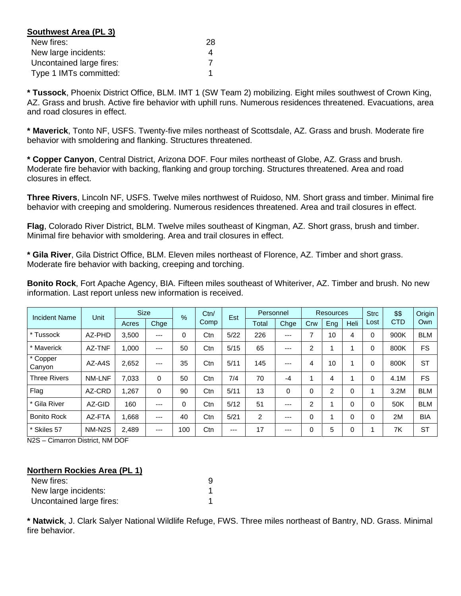| Southwest Area (PL 3)    |    |
|--------------------------|----|
| New fires:               | 28 |
| New large incidents:     |    |
| Uncontained large fires: |    |
| Type 1 IMTs committed:   |    |

**\* Tussock**, Phoenix District Office, BLM. IMT 1 (SW Team 2) mobilizing. Eight miles southwest of Crown King, AZ. Grass and brush. Active fire behavior with uphill runs. Numerous residences threatened. Evacuations, area and road closures in effect.

**\* Maverick**, Tonto NF, USFS. Twenty-five miles northeast of Scottsdale, AZ. Grass and brush. Moderate fire behavior with smoldering and flanking. Structures threatened.

**\* Copper Canyon**, Central District, Arizona DOF. Four miles northeast of Globe, AZ. Grass and brush. Moderate fire behavior with backing, flanking and group torching. Structures threatened. Area and road closures in effect.

**Three Rivers**, Lincoln NF, USFS. Twelve miles northwest of Ruidoso, NM. Short grass and timber. Minimal fire behavior with creeping and smoldering. Numerous residences threatened. Area and trail closures in effect.

**Flag**, Colorado River District, BLM. Twelve miles southeast of Kingman, AZ. Short grass, brush and timber. Minimal fire behavior with smoldering. Area and trail closures in effect.

**\* Gila River**, Gila District Office, BLM. Eleven miles northeast of Florence, AZ. Timber and short grass. Moderate fire behavior with backing, creeping and torching.

**Bonito Rock**, Fort Apache Agency, BIA. Fifteen miles southeast of Whiteriver, AZ. Timber and brush. No new information. Last report unless new information is received.

| <b>Incident Name</b> | <b>Unit</b>         |       | <b>Size</b> |     | Ctn/<br>% |       | Personnel |      | <b>Resources</b> |                |          | <b>Strc</b> | \$\$       | Origin     |
|----------------------|---------------------|-------|-------------|-----|-----------|-------|-----------|------|------------------|----------------|----------|-------------|------------|------------|
|                      |                     | Acres | Chge        |     | Comp      | Est   | Total     | Chge | Crw              | Eng            | Heli     | Lost        | <b>CTD</b> | Own        |
| * Tussock            | AZ-PHD              | 3.500 | $---$       | 0   | Ctn       | 5/22  | 226       | ---  | ⇁                | 10             | 4        | 0           | 900K       | <b>BLM</b> |
| * Maverick           | AZ-TNF              | 1,000 | $---$       | 50  | Ctn       | 5/15  | 65        | ---  | 2                |                |          | 0           | 800K       | <b>FS</b>  |
| * Copper<br>Canyon   | AZ-A4S              | 2,652 | $---$       | 35  | Ctn       | 5/11  | 145       | ---  | 4                | 10             |          | 0           | 800K       | <b>ST</b>  |
| <b>Three Rivers</b>  | <b>NM-LNF</b>       | 7,033 | 0           | 50  | Ctn       | 7/4   | 70        | $-4$ |                  | 4              |          | 0           | 4.1M       | <b>FS</b>  |
| Flag                 | AZ-CRD              | 1,267 | 0           | 90  | Ctn       | 5/11  | 13        | 0    | 0                | $\overline{2}$ | $\Omega$ |             | 3.2M       | <b>BLM</b> |
| * Gila River         | AZ-GID              | 160   | ---         | 0   | Ctn       | 5/12  | 51        | ---  | 2                |                | $\Omega$ | 0           | 50K        | <b>BLM</b> |
| <b>Bonito Rock</b>   | AZ-FTA              | 1,668 | $---$       | 40  | Ctn       | 5/21  | 2         | ---  | 0                |                | $\Omega$ | 0           | 2M         | <b>BIA</b> |
| * Skiles 57          | NM-N <sub>2</sub> S | 2.489 | $---$       | 100 | Ctn       | $---$ | 17        | ---  | 0                | 5              | 0        |             | 7K         | <b>ST</b>  |

N2S – Cimarron District, NM DOF

#### **Northern Rockies Area (PL 1)**

| New fires:               |  |
|--------------------------|--|
| New large incidents:     |  |
| Uncontained large fires: |  |

**\* Natwick**, J. Clark Salyer National Wildlife Refuge, FWS. Three miles northeast of Bantry, ND. Grass. Minimal fire behavior.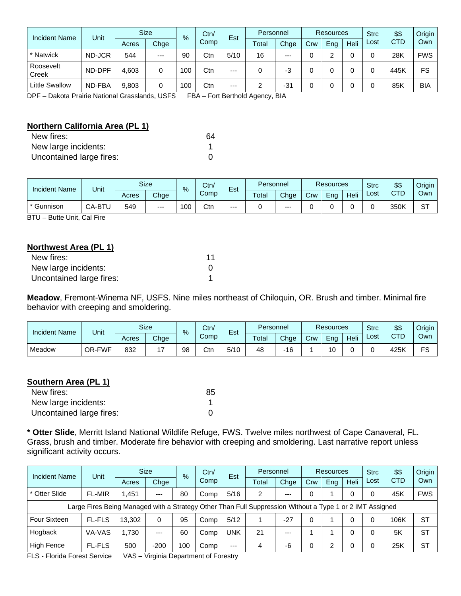| <b>Incident Name</b>  | Unit   | <b>Size</b> |       | $\%$ | Ctn/ | Est   | Personnel |       | <b>Resources</b> |     |      | <b>Strc</b> | \$\$       | Origin     |
|-----------------------|--------|-------------|-------|------|------|-------|-----------|-------|------------------|-----|------|-------------|------------|------------|
|                       |        | Acres       | Chge  |      | Comp |       | Total     | Chge  | Crw              | Ena | Heli | Lost        | <b>CTD</b> | Own        |
| * Natwick             | ND-JCR | 544         | $---$ | 90   | Ctn  | 5/10  | 16        | $---$ |                  | ົ   |      |             | 28K        | <b>FWS</b> |
| Roosevelt<br>Creek    | ND-DPF | 4.603       | 0     | 100  | Ctn  | $---$ | 0         | -3    |                  |     |      |             | 445K       | FS         |
| <b>Little Swallow</b> | ND-FBA | 9,803       | 0     | 100  | Ctn  | $---$ |           | $-31$ |                  |     |      |             | 85K        | <b>BIA</b> |

DPF – Dakota Prairie National Grasslands, USFS FBA – Fort Berthold Agency, BIA

# **Northern California Area (PL 1)**

| New fires:               | 64 |
|--------------------------|----|
| New large incidents:     |    |
| Uncontained large fires: |    |

| <b>Incident Name</b> | Unit          | <b>Size</b><br>Ctn/<br>-<br>% |      |     | Personnel<br>Est |      |       | <b>Resources</b> |     | <b>Strc</b> | \$\$        | Origin |      |           |
|----------------------|---------------|-------------------------------|------|-----|------------------|------|-------|------------------|-----|-------------|-------------|--------|------|-----------|
|                      |               | Acres                         | Chge |     | Comp             |      | Total | Chge             | Crw | Ena         | <b>Heli</b> | ∟ost   | CTD  | Own       |
| * Gunnison           | <b>CA-BTL</b> | 549                           | $--$ | 100 | Ctn              | $--$ |       | $--$             |     |             |             |        | 350K | oт<br>، ت |

BTU – Butte Unit, Cal Fire

# **Northwest Area (PL 1)**

| New fires:               | 11 |
|--------------------------|----|
| New large incidents:     |    |
| Uncontained large fires: |    |

**Meadow**, Fremont-Winema NF, USFS. Nine miles northeast of Chiloquin, OR. Brush and timber. Minimal fire behavior with creeping and smoldering.

| <b>Incident Name</b> | Unit   |       | <b>Size</b> | $\frac{9}{6}$ | Ctn/<br>$\overline{\phantom{0}}$<br>Est<br>Comp |      |       | Personnel |     | <b>Resources</b> |      |      | \$\$     | Origin I |
|----------------------|--------|-------|-------------|---------------|-------------------------------------------------|------|-------|-----------|-----|------------------|------|------|----------|----------|
|                      |        | Acres | Chge        |               |                                                 |      | Total | Chge      | Crw | Ena              | Heli | ∟ost | CTD<br>◡ | Own      |
| Meadow               | OR-FWF | 832   | . –         | 98            | Ctn                                             | 5/10 | 48    | $-16$     |     | 10               |      |      | 425K     | r c      |

### **Southern Area (PL 1)**

| New fires:               | 85 |
|--------------------------|----|
| New large incidents:     |    |
| Uncontained large fires: |    |

**\* Otter Slide**, Merritt Island National Wildlife Refuge, FWS. Twelve miles northwest of Cape Canaveral, FL. Grass, brush and timber. Moderate fire behavior with creeping and smoldering. Last narrative report unless significant activity occurs.

| Incident Name                                                                                            | Unit          |        | <b>Size</b> | $\frac{9}{6}$ |      | Est        | Personnel |       | <b>Resources</b> |     |      | <b>Strc</b> | \$\$       | Origin     |
|----------------------------------------------------------------------------------------------------------|---------------|--------|-------------|---------------|------|------------|-----------|-------|------------------|-----|------|-------------|------------|------------|
|                                                                                                          |               | Acres  | Chge        |               | Comp |            | Total     | Chge  | Crw              | Eng | Heli | Lost        | <b>CTD</b> | Own        |
| * Otter Slide                                                                                            | <b>FL-MIR</b> | 1.451  | $--$        | 80            | Comp | 5/16       | 2         | $---$ |                  |     |      |             | 45K        | <b>FWS</b> |
| Large Fires Being Managed with a Strategy Other Than Full Suppression Without a Type 1 or 2 IMT Assigned |               |        |             |               |      |            |           |       |                  |     |      |             |            |            |
| <b>Four Sixteen</b>                                                                                      | <b>FL-FLS</b> | 13.302 | 0           | 95            | Comp | 5/12       |           | $-27$ |                  |     | 0    |             | 106K       | <b>ST</b>  |
| Hogback                                                                                                  | VA-VAS        | 1.730  | $---$       | 60            | Comp | <b>UNK</b> | 21        | $--$  |                  |     |      |             | 5K         | <b>ST</b>  |
| High Fence                                                                                               | <b>FL-FLS</b> | 500    | $-200$      | 100           | Comp | $---$      | 4         | -6    |                  | ົ   |      |             | 25K        | <b>ST</b>  |

FLS - Florida Forest Service VAS – Virginia Department of Forestry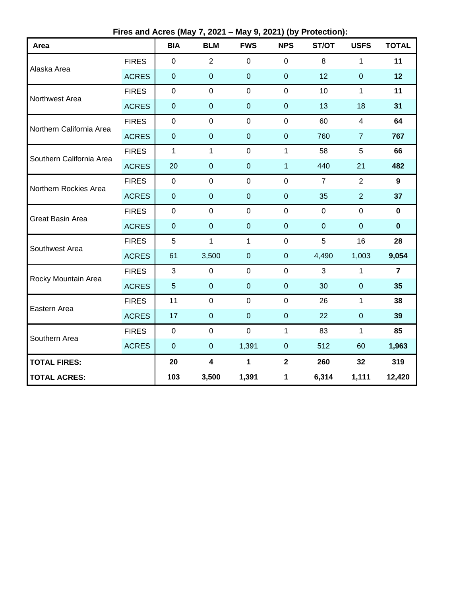**Fires and Acres (May 7, 2021 – May 9, 2021) (by Protection):**

| Area                     |              | <b>BIA</b>       | <b>BLM</b>              | <b>FWS</b>       | <b>NPS</b>       | ST/OT            | <b>USFS</b>    | <b>TOTAL</b>   |
|--------------------------|--------------|------------------|-------------------------|------------------|------------------|------------------|----------------|----------------|
| Alaska Area              | <b>FIRES</b> | $\mathbf 0$      | $\overline{2}$          | $\mathbf 0$      | $\overline{0}$   | 8                | $\mathbf 1$    | 11             |
|                          | <b>ACRES</b> | $\pmb{0}$        | $\mathbf 0$             | $\mathbf 0$      | $\boldsymbol{0}$ | 12               | $\mathbf 0$    | 12             |
| Northwest Area           | <b>FIRES</b> | $\pmb{0}$        | $\pmb{0}$               | $\mathbf 0$      | $\mathbf 0$      | 10               | $\mathbf{1}$   | 11             |
|                          | <b>ACRES</b> | $\pmb{0}$        | $\mathbf 0$             | $\mathbf 0$      | $\pmb{0}$        | 13               | 18             | 31             |
| Northern California Area | <b>FIRES</b> | $\pmb{0}$        | $\mathbf 0$             | $\mathbf 0$      | $\mathbf 0$      | 60               | $\overline{4}$ | 64             |
|                          | <b>ACRES</b> | $\boldsymbol{0}$ | $\mathbf 0$             | $\mathbf 0$      | $\pmb{0}$        | 760              | $\overline{7}$ | 767            |
| Southern California Area | <b>FIRES</b> | $\mathbf{1}$     | $\mathbf{1}$            | $\mathbf 0$      | $\mathbf{1}$     | 58               | 5              | 66             |
|                          | <b>ACRES</b> | 20               | $\mathbf 0$             | $\boldsymbol{0}$ | $\overline{1}$   | 440              | 21             | 482            |
| Northern Rockies Area    | <b>FIRES</b> | $\mathbf 0$      | $\overline{0}$          | $\overline{0}$   | $\mathbf 0$      | $\overline{7}$   | $\overline{2}$ | 9              |
|                          | <b>ACRES</b> | $\pmb{0}$        | $\mathbf 0$             | $\mathbf 0$      | $\boldsymbol{0}$ | 35               | $\overline{2}$ | 37             |
| Great Basin Area         | <b>FIRES</b> | $\pmb{0}$        | $\mathbf 0$             | $\mathbf 0$      | $\mathbf 0$      | $\mathbf{0}$     | $\mathbf 0$    | 0              |
|                          | <b>ACRES</b> | $\pmb{0}$        | $\mathbf 0$             | $\mathbf 0$      | $\boldsymbol{0}$ | $\boldsymbol{0}$ | $\mathbf 0$    | $\mathbf 0$    |
| Southwest Area           | <b>FIRES</b> | 5                | $\mathbf{1}$            | $\mathbf{1}$     | $\mathbf 0$      | 5                | 16             | 28             |
|                          | <b>ACRES</b> | 61               | 3,500                   | $\mathbf 0$      | $\boldsymbol{0}$ | 4,490            | 1,003          | 9,054          |
| Rocky Mountain Area      | <b>FIRES</b> | $\sqrt{3}$       | $\mathbf 0$             | $\mathbf 0$      | $\pmb{0}$        | 3                | $\mathbf{1}$   | $\overline{7}$ |
|                          | <b>ACRES</b> | $\sqrt{5}$       | $\overline{0}$          | $\mathbf 0$      | $\pmb{0}$        | 30               | $\pmb{0}$      | 35             |
| Eastern Area             | <b>FIRES</b> | 11               | $\mathbf 0$             | $\mathbf 0$      | $\mathbf 0$      | 26               | $\mathbf{1}$   | 38             |
|                          | <b>ACRES</b> | 17               | $\overline{0}$          | $\mathbf 0$      | $\boldsymbol{0}$ | 22               | $\pmb{0}$      | 39             |
| Southern Area            | <b>FIRES</b> | $\pmb{0}$        | $\mathbf 0$             | $\mathbf 0$      | 1                | 83               | 1              | 85             |
|                          | <b>ACRES</b> | $\pmb{0}$        | $\pmb{0}$               | 1,391            | $\pmb{0}$        | 512              | 60             | 1,963          |
| <b>TOTAL FIRES:</b>      |              | 20               | $\overline{\mathbf{4}}$ | $\mathbf{1}$     | $\overline{2}$   | 260              | 32             | 319            |
| <b>TOTAL ACRES:</b>      |              | 103              | 3,500                   | 1,391            | 1                | 6,314            | 1,111          | 12,420         |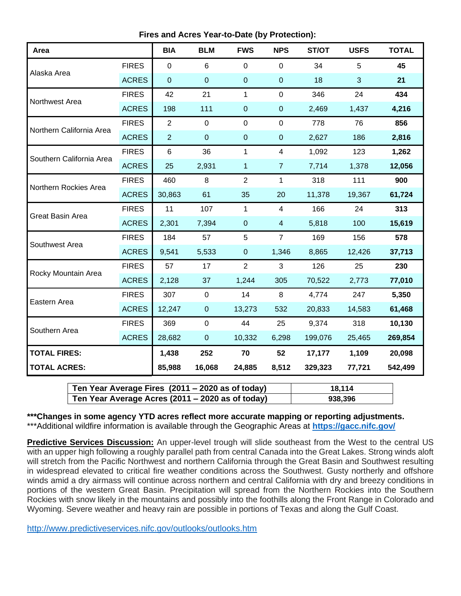**Fires and Acres Year-to-Date (by Protection):**

| Area                     |              | <b>BIA</b>     | <b>BLM</b>  | <b>FWS</b>     | <b>NPS</b>       | ST/OT   | <b>USFS</b>  | <b>TOTAL</b> |
|--------------------------|--------------|----------------|-------------|----------------|------------------|---------|--------------|--------------|
| Alaska Area              | <b>FIRES</b> | $\mathbf 0$    | 6           | 0              | $\mathbf 0$      | 34      | 5            | 45           |
|                          | <b>ACRES</b> | $\mathbf 0$    | $\mathbf 0$ | $\pmb{0}$      | $\boldsymbol{0}$ | 18      | $\mathbf{3}$ | 21           |
| Northwest Area           | <b>FIRES</b> | 42             | 21          | $\mathbf{1}$   | $\mathbf 0$      | 346     | 24           | 434          |
|                          | <b>ACRES</b> | 198            | 111         | $\overline{0}$ | $\pmb{0}$        | 2,469   | 1,437        | 4,216        |
| Northern California Area | <b>FIRES</b> | $\overline{2}$ | $\mathbf 0$ | $\mathbf 0$    | $\mathbf 0$      | 778     | 76           | 856          |
|                          | <b>ACRES</b> | $\overline{2}$ | $\mathbf 0$ | $\pmb{0}$      | $\pmb{0}$        | 2,627   | 186          | 2,816        |
| Southern California Area | <b>FIRES</b> | $\,6$          | 36          | 1              | 4                | 1,092   | 123          | 1,262        |
|                          | <b>ACRES</b> | 25             | 2,931       | 1              | $\overline{7}$   | 7,714   | 1,378        | 12,056       |
| Northern Rockies Area    | <b>FIRES</b> | 460            | 8           | $\overline{2}$ | $\mathbf{1}$     | 318     | 111          | 900          |
|                          | <b>ACRES</b> | 30,863         | 61          | 35             | 20               | 11,378  | 19,367       | 61,724       |
| Great Basin Area         | <b>FIRES</b> | 11             | 107         | $\mathbf{1}$   | $\overline{4}$   | 166     | 24           | 313          |
|                          | <b>ACRES</b> | 2,301          | 7,394       | $\overline{0}$ | $\overline{4}$   | 5,818   | 100          | 15,619       |
| Southwest Area           | <b>FIRES</b> | 184            | 57          | 5              | $\overline{7}$   | 169     | 156          | 578          |
|                          | <b>ACRES</b> | 9,541          | 5,533       | $\mathbf 0$    | 1,346            | 8,865   | 12,426       | 37,713       |
| Rocky Mountain Area      | <b>FIRES</b> | 57             | 17          | $\overline{2}$ | 3                | 126     | 25           | 230          |
|                          | <b>ACRES</b> | 2,128          | 37          | 1,244          | 305              | 70,522  | 2,773        | 77,010       |
| Eastern Area             | <b>FIRES</b> | 307            | $\mathbf 0$ | 14             | 8                | 4,774   | 247          | 5,350        |
|                          | <b>ACRES</b> | 12,247         | $\pmb{0}$   | 13,273         | 532              | 20,833  | 14,583       | 61,468       |
| Southern Area            | <b>FIRES</b> | 369            | $\mathbf 0$ | 44             | 25               | 9,374   | 318          | 10,130       |
|                          | <b>ACRES</b> | 28,682         | $\pmb{0}$   | 10,332         | 6,298            | 199,076 | 25,465       | 269,854      |
| <b>TOTAL FIRES:</b>      |              | 1,438          | 252         | 70             | 52               | 17,177  | 1,109        | 20,098       |
| <b>TOTAL ACRES:</b>      |              | 85,988         | 16,068      | 24,885         | 8,512            | 329,323 | 77,721       | 542,499      |

| Ten Year Average Fires (2011 – 2020 as of today) | 18.114  |
|--------------------------------------------------|---------|
| Ten Year Average Acres (2011 – 2020 as of today) | 938,396 |

**\*\*\*Changes in some agency YTD acres reflect more accurate mapping or reporting adjustments.** \*\*\*Additional wildfire information is available through the Geographic Areas at **<https://gacc.nifc.gov/>**

**Predictive Services Discussion:** An upper-level trough will slide southeast from the West to the central US with an upper high following a roughly parallel path from central Canada into the Great Lakes. Strong winds aloft will stretch from the Pacific Northwest and northern California through the Great Basin and Southwest resulting in widespread elevated to critical fire weather conditions across the Southwest. Gusty northerly and offshore winds amid a dry airmass will continue across northern and central California with dry and breezy conditions in portions of the western Great Basin. Precipitation will spread from the Northern Rockies into the Southern Rockies with snow likely in the mountains and possibly into the foothills along the Front Range in Colorado and Wyoming. Severe weather and heavy rain are possible in portions of Texas and along the Gulf Coast.

<http://www.predictiveservices.nifc.gov/outlooks/outlooks.htm>